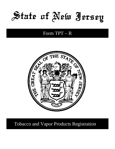State of New Jersey

# Form TPT-R



**Tobacco and Vapor Products Registration**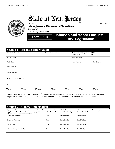Rev 11-2021



Send to:

**New Jersey Division of Taxation**

PO Box 187

Trenton, NJ 08695-0187

### **Form TPT-R Tobacco and Vapor Products Tax Registration**

| <b>Section 1 – Business Information</b>                                                                                                                                                                                           |                                         |                                            |                                       |  |  |
|-----------------------------------------------------------------------------------------------------------------------------------------------------------------------------------------------------------------------------------|-----------------------------------------|--------------------------------------------|---------------------------------------|--|--|
| Federal ID Number                                                                                                                                                                                                                 | New Jersey Tax ID Number                | Does your company have<br>internet access? | $\overline{\Box}$ Yes<br>$\square$ No |  |  |
| <b>Business Name</b>                                                                                                                                                                                                              |                                         | <b>Website Address</b>                     |                                       |  |  |
| <b>Trade Name</b>                                                                                                                                                                                                                 |                                         | Phone Number                               | Fax Number                            |  |  |
| Physical Address                                                                                                                                                                                                                  |                                         |                                            |                                       |  |  |
| Mailing Address                                                                                                                                                                                                                   |                                         |                                            |                                       |  |  |
| <b>Books and Records Address</b>                                                                                                                                                                                                  |                                         |                                            |                                       |  |  |
| Hours of Operation                                                                                                                                                                                                                |                                         |                                            |                                       |  |  |
| $\Box$ Tues.<br>$\Box$ Wed.<br>Mon.                                                                                                                                                                                               | $\square_{\text{Fri.}}$<br>$\Box$ Thur. | $\square$ Sat.                             | $\Box$ Sun.                           |  |  |
| NOTE: Be advised that your business, including those businesses that operate from a personal residence, are subject to<br>inspection by New Jersey Division of Taxation employees, which include sworn law enforcement personnel. |                                         |                                            |                                       |  |  |

### **Section 2 – Contact Information**

**If you wish to have an attorney, accountant, or other individual act on your behalf and have access to your tax information, then you must supply us with an Appointment of Taxpayer Representative Form (Form M-5008-R) that gives us the authority to release confidential information to your representative.**

| <b>Contact for Registration</b> | Title | <b>Phone Number</b> | <b>Email Address</b> |
|---------------------------------|-------|---------------------|----------------------|
|                                 |       |                     |                      |
| <b>Contact for Reporting</b>    | Title | <b>Phone Number</b> | <b>Email Address</b> |
|                                 |       |                     |                      |
| Site Manager                    | Title | <b>Phone Number</b> | <b>Email Address</b> |
|                                 |       |                     |                      |
| Individual Completing this Form | Title | <b>Phone Number</b> | <b>Email Address</b> |
|                                 |       |                     |                      |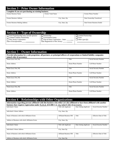| <b>Section 3 – Prior Owner Information</b>           |                   |                            |  |  |
|------------------------------------------------------|-------------------|----------------------------|--|--|
| Complete if you are purchasing an existing business. |                   |                            |  |  |
| Former Business Name                                 | Former Trade Name | Former Phone Number        |  |  |
| <b>Former Business Address</b>                       | City, State, Zip  | Date Ownership Transferred |  |  |
| Former Business Mailing Address                      | City, State, Zip  | Date Former Business Ended |  |  |

| <b>Section <math>\overline{4}</math> – Type of Ownership</b>                                                                                         |                                                                                                                |                                                 |  |  |
|------------------------------------------------------------------------------------------------------------------------------------------------------|----------------------------------------------------------------------------------------------------------------|-------------------------------------------------|--|--|
| $\Box$ Sole Proprietorship ( <i>may include spouse</i> )<br>Limited Liability Partnership<br>$\Box$ New Jersey Corporation<br>Date of Incorporation: | Partnership<br>Government Entity<br>$\Box$ Out-of-State Corporation – State:<br>Date Registered in New Jersey: | Limited Partnership<br>Trust<br>Other (specify) |  |  |

| <b>Section 5 – Owner Information</b>                                                                                          |                   |                        |  |  |
|-------------------------------------------------------------------------------------------------------------------------------|-------------------|------------------------|--|--|
| Provide information for a sole proprietor, all partners, or principal officers of corporations or limited liability companies |                   |                        |  |  |
| (attach rider if necessary).                                                                                                  |                   |                        |  |  |
| Name (Last, First, M)                                                                                                         | Title             | Social Security Number |  |  |
| Home Address                                                                                                                  | Home Phone Number | Cell Phone Number      |  |  |
| Name (Last, First, M)                                                                                                         | Title             | Social Security Number |  |  |
| Home Address                                                                                                                  | Home Phone Number | Cell Phone Number      |  |  |
| Name (Last, First, M)                                                                                                         | Title             | Social Security Number |  |  |
| <b>Home Address</b>                                                                                                           | Home Phone Number | Cell Phone Number      |  |  |
| Name (Last, First, M)                                                                                                         | Title             | Social Security Number |  |  |
| <b>Home Address</b>                                                                                                           | Home Phone Number | Cell Phone Number      |  |  |

# **Section 6 – Relationships with Other Organizations**

| Information regarding persons affiliated with this business who either are also affiliated or have been affiliated with another |                                |                        |                                |  |  |
|---------------------------------------------------------------------------------------------------------------------------------|--------------------------------|------------------------|--------------------------------|--|--|
| business that requires registration under N.J.S.A. §54:40B-1 et. seq. (attach rider if necessary).                              |                                |                        |                                |  |  |
| Individual's Name                                                                                                               | Title with Applicant           | Date Joining Applicant | Social Security Number         |  |  |
|                                                                                                                                 |                                |                        |                                |  |  |
| Individual's Home Address                                                                                                       | City, State, Zip               |                        |                                |  |  |
|                                                                                                                                 |                                |                        |                                |  |  |
| Name of Business with which Affiliation Exists                                                                                  | <b>Affiliated Business FID</b> | Title                  | <b>Effective Date of Title</b> |  |  |
|                                                                                                                                 |                                |                        |                                |  |  |
| Address of Business with which Affiliation Exists                                                                               | City, State, Zip               |                        |                                |  |  |
|                                                                                                                                 |                                |                        |                                |  |  |
| Individual's Name                                                                                                               | Title with Applicant           | Date Joining Applicant | Social Security Number         |  |  |
|                                                                                                                                 |                                |                        |                                |  |  |
| Individual's Home Address                                                                                                       | City, State Zip                |                        |                                |  |  |
|                                                                                                                                 |                                |                        |                                |  |  |
| Name of Business with which Affiliation Exists                                                                                  | <b>Affiliated Business FID</b> | Title                  | Effective Date of Title        |  |  |
|                                                                                                                                 |                                |                        |                                |  |  |
| Address of Business with which Affiliation Exists                                                                               | City, State Zip                |                        |                                |  |  |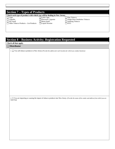|                                                                          | <b>Section 7 – Types of Products</b> |                               |
|--------------------------------------------------------------------------|--------------------------------------|-------------------------------|
| Check each type of product with which you will be dealing in New Jersey. |                                      |                               |
| $\Box$ Cigar                                                             | Little Cigar                         | Pipe Tobacco                  |
| $\Box$ Cigarillo                                                         | Electronic Cigarette                 | Single-Dose Smokeless Tobacco |
| $\Box$ Dry Snuff                                                         | Moist Snuff                          | Smoking Tobacco               |
| $\Box$ Other Tobacco Products – List Products:                           | $\Box$ Liquid Nicotine               | $ $ RYO                       |
|                                                                          |                                      |                               |

## **Section 8 – Business Activity; Registration Requested**

#### **Check all that apply.**

#### **Distributor**

1. You sell tobacco products in New Jersey (*Provide the address for each location for which you conduct business)*

2. You are importing or causing the import of tobacco products into New Jersey. (*Provide the name of the vendor and address from which you are importing)*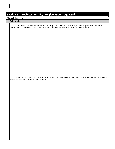### **Section 8 – Business Activity; Registration Requested**

#### **Check all that apply.**

#### **Wholesaler**

1. You purchase tobacco products on which the New Jersey Tobacco Products Tax has been paid from any person who purchases those products from a manufacturer (*Provide the name of the vendor and address from whom you are purchasing tobacco products)*

2. You acquire tobacco products for resale to a retail dealer or other person for the purpose of resale only. (*Provide the name of the vendor and address from whom you are purchasing tobacco products)*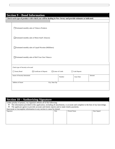|                                   |                                                          |                         | Check each type of product with which you will be dealing in New Jersey and provide estimates as indicated. |        |
|-----------------------------------|----------------------------------------------------------|-------------------------|-------------------------------------------------------------------------------------------------------------|--------|
|                                   | Estimated monthly sales of Tobacco Products              |                         |                                                                                                             |        |
|                                   | Estimated monthly sales of Moist Snuff (Ounces)          |                         |                                                                                                             |        |
|                                   | Estimated monthly sales of Liquid Nicotine (Milliliters) |                         |                                                                                                             |        |
|                                   | Estimated monthly sales of Roll Your Own Tobacco         |                         |                                                                                                             |        |
| Check type of Security to be used |                                                          |                         |                                                                                                             |        |
| Surety Bond                       | Certificate of Deposit                                   | $\Box$ Letter of Credit | $\Box$ Cash Deposit                                                                                         |        |
| Issuer of Security Instrument     |                                                          | Number                  | <b>Issue Date</b>                                                                                           | Amount |
| Address of Issuer                 |                                                          | City, State Zip         |                                                                                                             |        |

### **Section 10 – Authorizing Signature**

Under penalty of perjury, my signature affirms all of the following:

 $\bullet$  The information provided in this application, including all attachments, is accurate and complete to the best of my knowledge.<br> $\bullet$  The applicant agrees to provide accurate and timely reports and to make timely payme The applicant agrees to provide accurate and timely reports and to make timely payments.

Inaccurate or incomplete information in any section is cause for denial.

| maccurate of meomplete information in any section to cause for demain |       |              |             |  |
|-----------------------------------------------------------------------|-------|--------------|-------------|--|
| Signature                                                             | Title | Printed Name | Date Signed |  |
|                                                                       |       |              |             |  |
|                                                                       |       |              |             |  |
|                                                                       |       |              |             |  |
|                                                                       |       |              |             |  |
|                                                                       |       |              |             |  |
|                                                                       |       |              |             |  |
|                                                                       |       |              |             |  |
|                                                                       |       |              |             |  |
|                                                                       |       |              |             |  |
|                                                                       |       |              |             |  |